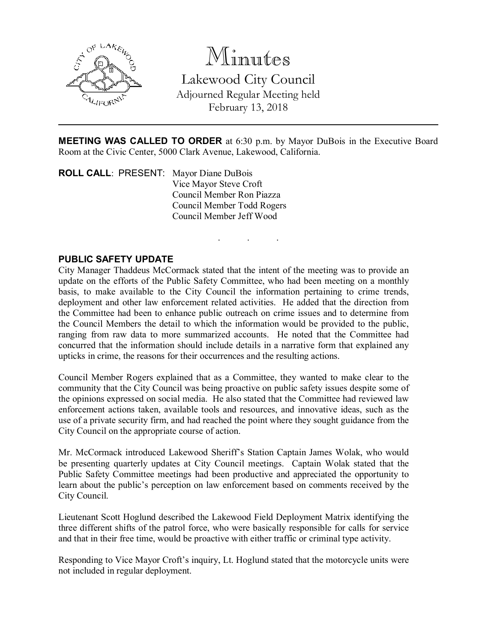

Minutes Lakewood City Council Adjourned Regular Meeting held February 13, 2018

MEETING WAS CALLED TO ORDER at 6:30 p.m. by Mayor DuBois in the Executive Board Room at the Civic Center, 5000 Clark Avenue, Lakewood, California.

. . .

ROLL CALL: PRESENT: Mayor Diane DuBois Vice Mayor Steve Croft Council Member Ron Piazza Council Member Todd Rogers Council Member Jeff Wood

# PUBLIC SAFETY UPDATE

City Manager Thaddeus McCormack stated that the intent of the meeting was to provide an update on the efforts of the Public Safety Committee, who had been meeting on a monthly basis, to make available to the City Council the information pertaining to crime trends, deployment and other law enforcement related activities. He added that the direction from the Committee had been to enhance public outreach on crime issues and to determine from the Council Members the detail to which the information would be provided to the public, ranging from raw data to more summarized accounts. He noted that the Committee had concurred that the information should include details in a narrative form that explained any upticks in crime, the reasons for their occurrences and the resulting actions.

Council Member Rogers explained that as a Committee, they wanted to make clear to the community that the City Council was being proactive on public safety issues despite some of the opinions expressed on social media. He also stated that the Committee had reviewed law enforcement actions taken, available tools and resources, and innovative ideas, such as the use of a private security firm, and had reached the point where they sought guidance from the City Council on the appropriate course of action.

Mr. McCormack introduced Lakewood Sheriff's Station Captain James Wolak, who would be presenting quarterly updates at City Council meetings. Captain Wolak stated that the Public Safety Committee meetings had been productive and appreciated the opportunity to learn about the public's perception on law enforcement based on comments received by the City Council.

Lieutenant Scott Hoglund described the Lakewood Field Deployment Matrix identifying the three different shifts of the patrol force, who were basically responsible for calls for service and that in their free time, would be proactive with either traffic or criminal type activity.

Responding to Vice Mayor Croft's inquiry, Lt. Hoglund stated that the motorcycle units were not included in regular deployment.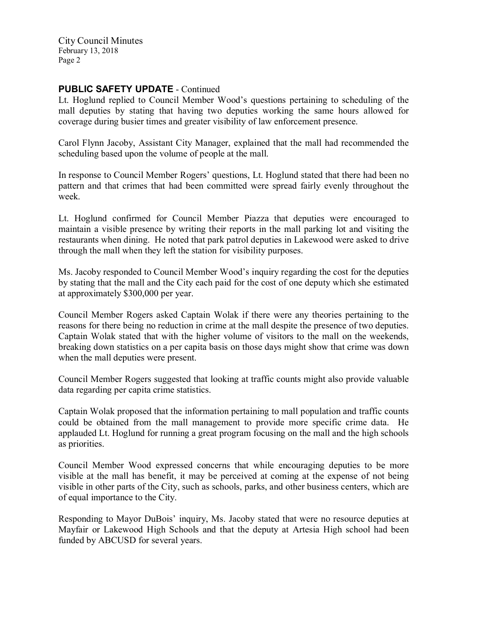## PUBLIC SAFETY UPDATE - Continued

Lt. Hoglund replied to Council Member Wood's questions pertaining to scheduling of the mall deputies by stating that having two deputies working the same hours allowed for coverage during busier times and greater visibility of law enforcement presence.

Carol Flynn Jacoby, Assistant City Manager, explained that the mall had recommended the scheduling based upon the volume of people at the mall.

In response to Council Member Rogers' questions, Lt. Hoglund stated that there had been no pattern and that crimes that had been committed were spread fairly evenly throughout the week.

Lt. Hoglund confirmed for Council Member Piazza that deputies were encouraged to maintain a visible presence by writing their reports in the mall parking lot and visiting the restaurants when dining. He noted that park patrol deputies in Lakewood were asked to drive through the mall when they left the station for visibility purposes.

Ms. Jacoby responded to Council Member Wood's inquiry regarding the cost for the deputies by stating that the mall and the City each paid for the cost of one deputy which she estimated at approximately \$300,000 per year.

Council Member Rogers asked Captain Wolak if there were any theories pertaining to the reasons for there being no reduction in crime at the mall despite the presence of two deputies. Captain Wolak stated that with the higher volume of visitors to the mall on the weekends, breaking down statistics on a per capita basis on those days might show that crime was down when the mall deputies were present.

Council Member Rogers suggested that looking at traffic counts might also provide valuable data regarding per capita crime statistics.

Captain Wolak proposed that the information pertaining to mall population and traffic counts could be obtained from the mall management to provide more specific crime data. He applauded Lt. Hoglund for running a great program focusing on the mall and the high schools as priorities.

Council Member Wood expressed concerns that while encouraging deputies to be more visible at the mall has benefit, it may be perceived at coming at the expense of not being visible in other parts of the City, such as schools, parks, and other business centers, which are of equal importance to the City.

Responding to Mayor DuBois' inquiry, Ms. Jacoby stated that were no resource deputies at Mayfair or Lakewood High Schools and that the deputy at Artesia High school had been funded by ABCUSD for several years.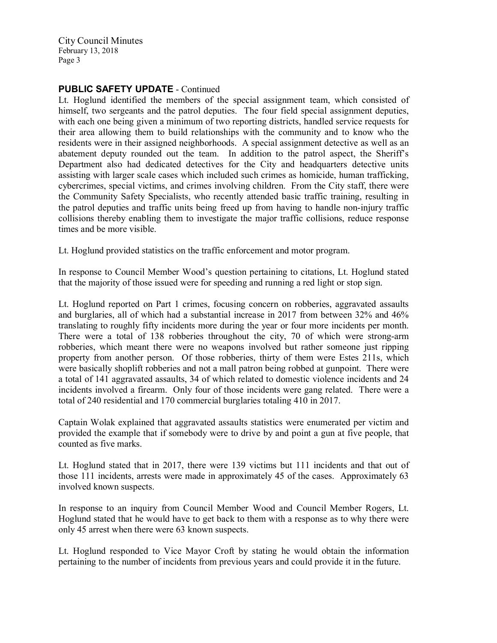# PUBLIC SAFETY UPDATE - Continued

Lt. Hoglund identified the members of the special assignment team, which consisted of himself, two sergeants and the patrol deputies. The four field special assignment deputies, with each one being given a minimum of two reporting districts, handled service requests for their area allowing them to build relationships with the community and to know who the residents were in their assigned neighborhoods. A special assignment detective as well as an abatement deputy rounded out the team. In addition to the patrol aspect, the Sheriff's Department also had dedicated detectives for the City and headquarters detective units assisting with larger scale cases which included such crimes as homicide, human trafficking, cybercrimes, special victims, and crimes involving children. From the City staff, there were the Community Safety Specialists, who recently attended basic traffic training, resulting in the patrol deputies and traffic units being freed up from having to handle non-injury traffic collisions thereby enabling them to investigate the major traffic collisions, reduce response times and be more visible.

Lt. Hoglund provided statistics on the traffic enforcement and motor program.

In response to Council Member Wood's question pertaining to citations, Lt. Hoglund stated that the majority of those issued were for speeding and running a red light or stop sign.

Lt. Hoglund reported on Part 1 crimes, focusing concern on robberies, aggravated assaults and burglaries, all of which had a substantial increase in 2017 from between 32% and 46% translating to roughly fifty incidents more during the year or four more incidents per month. There were a total of 138 robberies throughout the city, 70 of which were strong-arm robberies, which meant there were no weapons involved but rather someone just ripping property from another person. Of those robberies, thirty of them were Estes 211s, which were basically shoplift robberies and not a mall patron being robbed at gunpoint. There were a total of 141 aggravated assaults, 34 of which related to domestic violence incidents and 24 incidents involved a firearm. Only four of those incidents were gang related. There were a total of 240 residential and 170 commercial burglaries totaling 410 in 2017.

Captain Wolak explained that aggravated assaults statistics were enumerated per victim and provided the example that if somebody were to drive by and point a gun at five people, that counted as five marks.

Lt. Hoglund stated that in 2017, there were 139 victims but 111 incidents and that out of those 111 incidents, arrests were made in approximately 45 of the cases. Approximately 63 involved known suspects.

In response to an inquiry from Council Member Wood and Council Member Rogers, Lt. Hoglund stated that he would have to get back to them with a response as to why there were only 45 arrest when there were 63 known suspects.

Lt. Hoglund responded to Vice Mayor Croft by stating he would obtain the information pertaining to the number of incidents from previous years and could provide it in the future.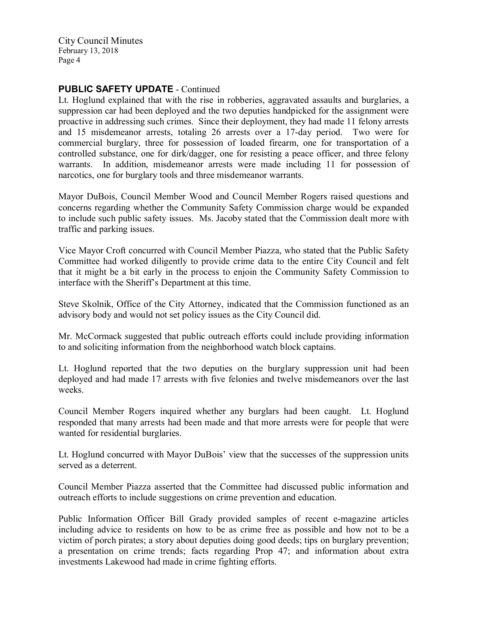## PUBLIC SAFETY UPDATE - Continued

Lt. Hoglund explained that with the rise in robberies, aggravated assaults and burglaries, a suppression car had been deployed and the two deputies handpicked for the assignment were proactive in addressing such crimes. Since their deployment, they had made 11 felony arrests and 15 misdemeanor arrests, totaling 26 arrests over a 17-day period. Two were for commercial burglary, three for possession of loaded firearm, one for transportation of a controlled substance, one for dirk/dagger, one for resisting a peace officer, and three felony warrants. In addition, misdemeanor arrests were made including 11 for possession of narcotics, one for burglary tools and three misdemeanor warrants.

Mayor DuBois, Council Member Wood and Council Member Rogers raised questions and concerns regarding whether the Community Safety Commission charge would be expanded to include such public safety issues. Ms. Jacoby stated that the Commission dealt more with traffic and parking issues.

Vice Mayor Croft concurred with Council Member Piazza, who stated that the Public Safety Committee had worked diligently to provide crime data to the entire City Council and felt that it might be a bit early in the process to enjoin the Community Safety Commission to interface with the Sheriff's Department at this time.

Steve Skolnik, Office of the City Attorney, indicated that the Commission functioned as an advisory body and would not set policy issues as the City Council did.

Mr. McCormack suggested that public outreach efforts could include providing information to and soliciting information from the neighborhood watch block captains.

Lt. Hoglund reported that the two deputies on the burglary suppression unit had been deployed and had made 17 arrests with five felonies and twelve misdemeanors over the last weeks.

Council Member Rogers inquired whether any burglars had been caught. Lt. Hoglund responded that many arrests had been made and that more arrests were for people that were wanted for residential burglaries.

Lt. Hoglund concurred with Mayor DuBois' view that the successes of the suppression units served as a deterrent.

Council Member Piazza asserted that the Committee had discussed public information and outreach efforts to include suggestions on crime prevention and education.

Public Information Officer Bill Grady provided samples of recent e-magazine articles including advice to residents on how to be as crime free as possible and how not to be a victim of porch pirates; a story about deputies doing good deeds; tips on burglary prevention; a presentation on crime trends; facts regarding Prop 47; and information about extra investments Lakewood had made in crime fighting efforts.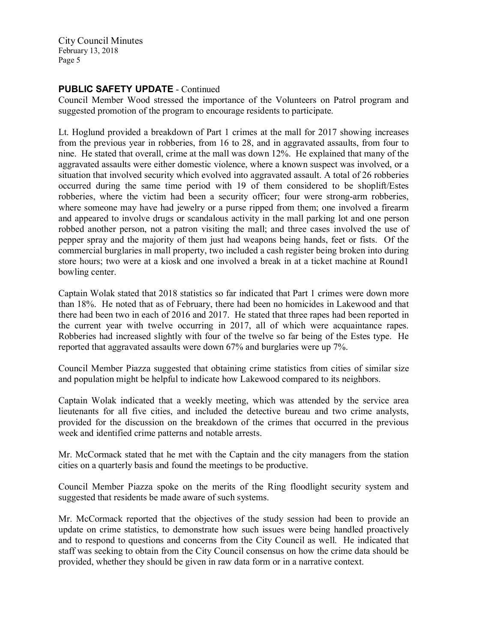# PUBLIC SAFETY UPDATE - Continued

Council Member Wood stressed the importance of the Volunteers on Patrol program and suggested promotion of the program to encourage residents to participate.

Lt. Hoglund provided a breakdown of Part 1 crimes at the mall for 2017 showing increases from the previous year in robberies, from 16 to 28, and in aggravated assaults, from four to nine. He stated that overall, crime at the mall was down 12%. He explained that many of the aggravated assaults were either domestic violence, where a known suspect was involved, or a situation that involved security which evolved into aggravated assault. A total of 26 robberies occurred during the same time period with 19 of them considered to be shoplift/Estes robberies, where the victim had been a security officer; four were strong-arm robberies, where someone may have had jewelry or a purse ripped from them; one involved a firearm and appeared to involve drugs or scandalous activity in the mall parking lot and one person robbed another person, not a patron visiting the mall; and three cases involved the use of pepper spray and the majority of them just had weapons being hands, feet or fists. Of the commercial burglaries in mall property, two included a cash register being broken into during store hours; two were at a kiosk and one involved a break in at a ticket machine at Round1 bowling center.

Captain Wolak stated that 2018 statistics so far indicated that Part 1 crimes were down more than 18%. He noted that as of February, there had been no homicides in Lakewood and that there had been two in each of 2016 and 2017. He stated that three rapes had been reported in the current year with twelve occurring in 2017, all of which were acquaintance rapes. Robberies had increased slightly with four of the twelve so far being of the Estes type. He reported that aggravated assaults were down 67% and burglaries were up 7%.

Council Member Piazza suggested that obtaining crime statistics from cities of similar size and population might be helpful to indicate how Lakewood compared to its neighbors.

Captain Wolak indicated that a weekly meeting, which was attended by the service area lieutenants for all five cities, and included the detective bureau and two crime analysts, provided for the discussion on the breakdown of the crimes that occurred in the previous week and identified crime patterns and notable arrests.

Mr. McCormack stated that he met with the Captain and the city managers from the station cities on a quarterly basis and found the meetings to be productive.

Council Member Piazza spoke on the merits of the Ring floodlight security system and suggested that residents be made aware of such systems.

Mr. McCormack reported that the objectives of the study session had been to provide an update on crime statistics, to demonstrate how such issues were being handled proactively and to respond to questions and concerns from the City Council as well. He indicated that staff was seeking to obtain from the City Council consensus on how the crime data should be provided, whether they should be given in raw data form or in a narrative context.